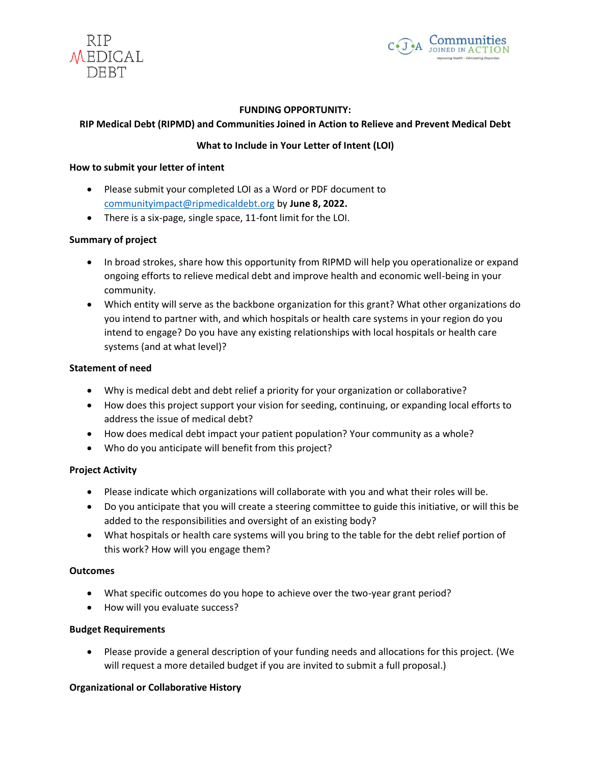



### **FUNDING OPPORTUNITY:**

### **RIP Medical Debt (RIPMD) and Communities Joined in Action to Relieve and Prevent Medical Debt**

## **What to Include in Your Letter of Intent (LOI)**

### **How to submit your letter of intent**

- Please submit your completed LOI as a Word or PDF document to [communityimpact@ripmedicaldebt.org](mailto:communityimpactpilot@RIPMD.org) by **June 8, 2022.**
- There is a six-page, single space, 11-font limit for the LOI.

### **Summary of project**

- In broad strokes, share how this opportunity from RIPMD will help you operationalize or expand ongoing efforts to relieve medical debt and improve health and economic well-being in your community.
- Which entity will serve as the backbone organization for this grant? What other organizations do you intend to partner with, and which hospitals or health care systems in your region do you intend to engage? Do you have any existing relationships with local hospitals or health care systems (and at what level)?

### **Statement of need**

- Why is medical debt and debt relief a priority for your organization or collaborative?
- How does this project support your vision for seeding, continuing, or expanding local efforts to address the issue of medical debt?
- How does medical debt impact your patient population? Your community as a whole?
- Who do you anticipate will benefit from this project?

## **Project Activity**

- Please indicate which organizations will collaborate with you and what their roles will be.
- Do you anticipate that you will create a steering committee to guide this initiative, or will this be added to the responsibilities and oversight of an existing body?
- What hospitals or health care systems will you bring to the table for the debt relief portion of this work? How will you engage them?

#### **Outcomes**

- What specific outcomes do you hope to achieve over the two-year grant period?
- How will you evaluate success?

#### **Budget Requirements**

• Please provide a general description of your funding needs and allocations for this project. (We will request a more detailed budget if you are invited to submit a full proposal.)

## **Organizational or Collaborative History**